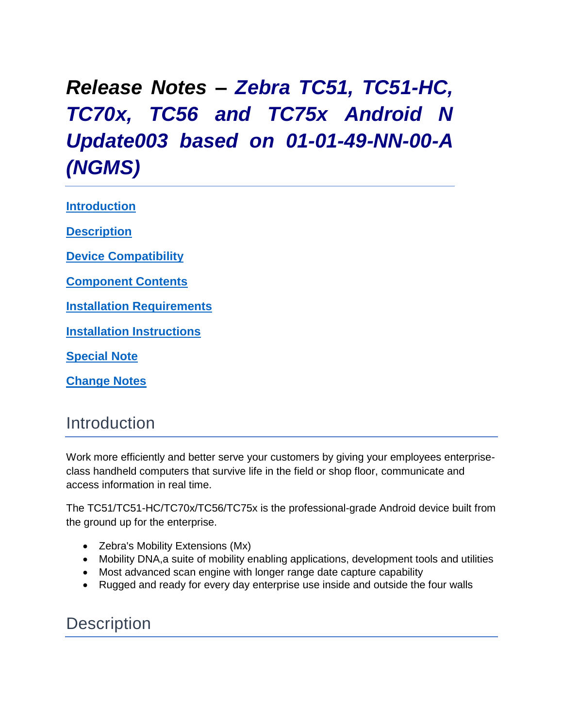# *Release Notes – Zebra TC51, TC51-HC, TC70x, TC56 and TC75x Android N Update003 based on 01-01-49-NN-00-A (NGMS)*

<span id="page-0-0"></span>**[Introduction](#page-0-0)**

**[Description](#page-0-1)**

**[Device Compatibility](#page-1-0)**

**[Component Contents](#page-2-0)**

**[Installation Requirements](#page-4-0)**

**Installation [Instructions](#page-4-1)**

**[Special](#page-7-0) [Note](#page-7-0)**

**[Change Notes](#page-7-0)**

#### Introduction

Work more efficiently and better serve your customers by giving your employees enterpriseclass handheld computers that survive life in the field or shop floor, communicate and access information in real time.

The TC51/TC51-HC/TC70x/TC56/TC75x is the professional-grade Android device built from the ground up for the enterprise.

- Zebra's Mobility Extensions (Mx)
- Mobility DNA,a suite of mobility enabling applications, development tools and utilities
- Most advanced scan engine with longer range date capture capability
- Rugged and ready for every day enterprise use inside and outside the four walls

#### <span id="page-0-1"></span>**Description**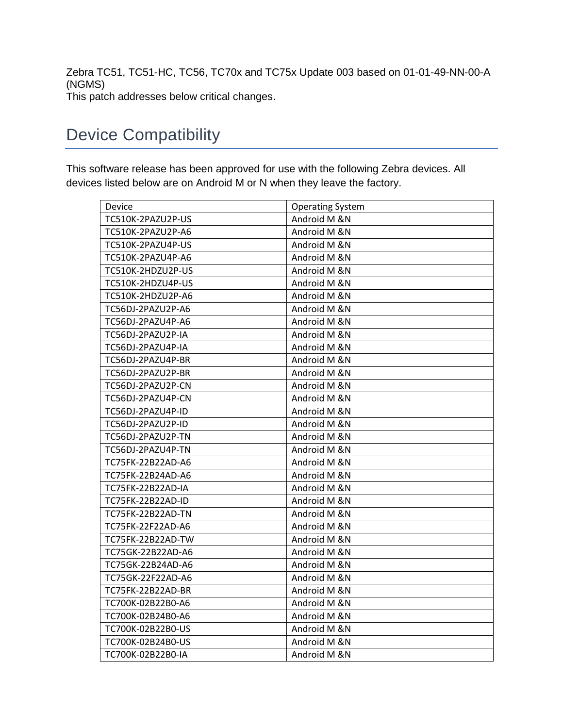Zebra TC51, TC51-HC, TC56, TC70x and TC75x Update 003 based on 01-01-49-NN-00-A (NGMS) This patch addresses below critical changes.

### <span id="page-1-0"></span>Device Compatibility

This software release has been approved for use with the following Zebra devices. All devices listed below are on Android M or N when they leave the factory.

| Device            | <b>Operating System</b> |
|-------------------|-------------------------|
| TC510K-2PAZU2P-US | Android M &N            |
| TC510K-2PAZU2P-A6 | Android M &N            |
| TC510K-2PAZU4P-US | Android M &N            |
| TC510K-2PAZU4P-A6 | Android M &N            |
| TC510K-2HDZU2P-US | Android M &N            |
| TC510K-2HDZU4P-US | Android M &N            |
| TC510K-2HDZU2P-A6 | Android M &N            |
| TC56DJ-2PAZU2P-A6 | Android M &N            |
| TC56DJ-2PAZU4P-A6 | Android M &N            |
| TC56DJ-2PAZU2P-IA | Android M &N            |
| TC56DJ-2PAZU4P-IA | Android M &N            |
| TC56DJ-2PAZU4P-BR | Android M &N            |
| TC56DJ-2PAZU2P-BR | Android M &N            |
| TC56DJ-2PAZU2P-CN | Android M &N            |
| TC56DJ-2PAZU4P-CN | Android M &N            |
| TC56DJ-2PAZU4P-ID | Android M &N            |
| TC56DJ-2PAZU2P-ID | Android M &N            |
| TC56DJ-2PAZU2P-TN | Android M &N            |
| TC56DJ-2PAZU4P-TN | Android M &N            |
| TC75FK-22B22AD-A6 | Android M &N            |
| TC75FK-22B24AD-A6 | Android M &N            |
| TC75FK-22B22AD-IA | Android M &N            |
| TC75FK-22B22AD-ID | Android M &N            |
| TC75FK-22B22AD-TN | Android M &N            |
| TC75FK-22F22AD-A6 | Android M &N            |
| TC75FK-22B22AD-TW | Android M &N            |
| TC75GK-22B22AD-A6 | Android M &N            |
| TC75GK-22B24AD-A6 | Android M &N            |
| TC75GK-22F22AD-A6 | Android M &N            |
| TC75FK-22B22AD-BR | Android M &N            |
| TC700K-02B22B0-A6 | Android M &N            |
| TC700K-02B24B0-A6 | Android M &N            |
| TC700K-02B22B0-US | Android M &N            |
| TC700K-02B24B0-US | Android M &N            |
| TC700K-02B22B0-IA | Android M &N            |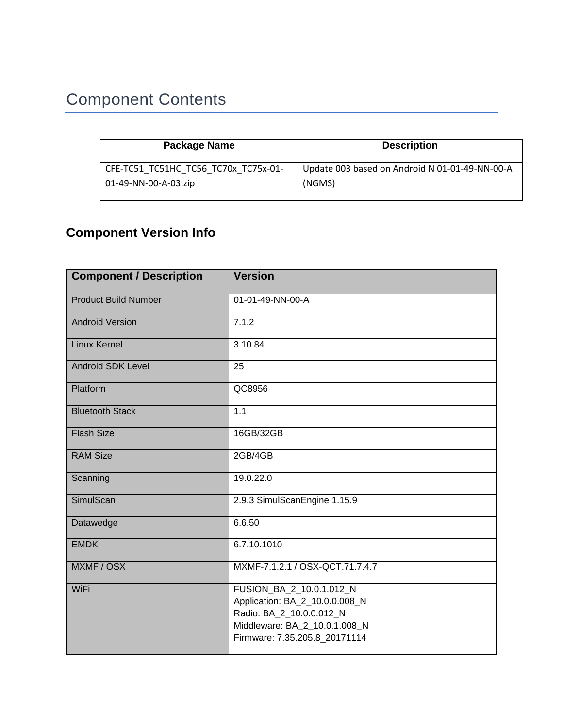## <span id="page-2-0"></span>Component Contents

| Package Name                         | <b>Description</b>                             |
|--------------------------------------|------------------------------------------------|
| CFE-TC51 TC51HC TC56 TC70x TC75x-01- | Update 003 based on Android N 01-01-49-NN-00-A |
| 01-49-NN-00-A-03.zip                 | (NGMS)                                         |

#### **Component Version Info**

| <b>Component / Description</b> | <b>Version</b>                                                                                                                                           |
|--------------------------------|----------------------------------------------------------------------------------------------------------------------------------------------------------|
| <b>Product Build Number</b>    | 01-01-49-NN-00-A                                                                                                                                         |
| <b>Android Version</b>         | 7.1.2                                                                                                                                                    |
| <b>Linux Kernel</b>            | 3.10.84                                                                                                                                                  |
| <b>Android SDK Level</b>       | 25                                                                                                                                                       |
| Platform                       | QC8956                                                                                                                                                   |
| <b>Bluetooth Stack</b>         | 1.1                                                                                                                                                      |
| <b>Flash Size</b>              | 16GB/32GB                                                                                                                                                |
| <b>RAM Size</b>                | 2GB/4GB                                                                                                                                                  |
| Scanning                       | 19.0.22.0                                                                                                                                                |
| SimulScan                      | 2.9.3 SimulScanEngine 1.15.9                                                                                                                             |
| Datawedge                      | 6.6.50                                                                                                                                                   |
| <b>EMDK</b>                    | 6.7.10.1010                                                                                                                                              |
| MXMF / OSX                     | MXMF-7.1.2.1 / OSX-QCT.71.7.4.7                                                                                                                          |
| WiFi                           | FUSION_BA_2_10.0.1.012_N<br>Application: BA_2_10.0.0.008_N<br>Radio: BA_2_10.0.0.012_N<br>Middleware: BA_2_10.0.1.008_N<br>Firmware: 7.35.205.8_20171114 |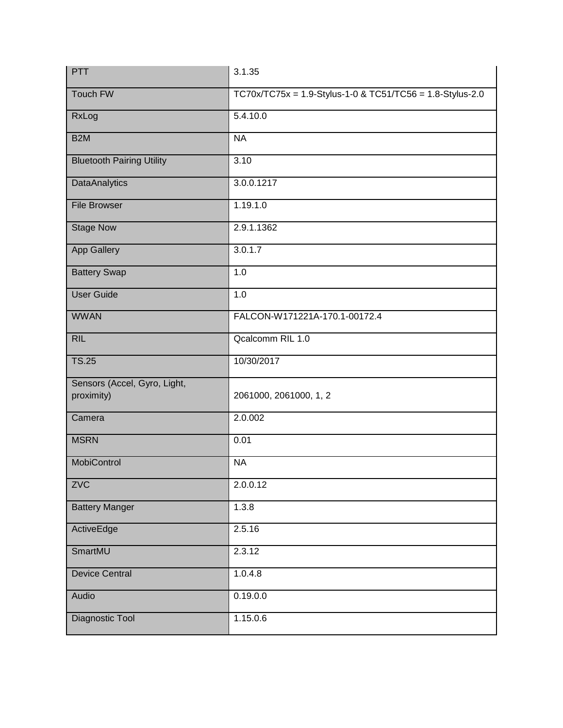| PTT                                        | 3.1.35                                                    |
|--------------------------------------------|-----------------------------------------------------------|
| Touch FW                                   | TC70x/TC75x = 1.9-Stylus-1-0 & TC51/TC56 = 1.8-Stylus-2.0 |
| RxLog                                      | 5.4.10.0                                                  |
| B <sub>2</sub> M                           | <b>NA</b>                                                 |
| <b>Bluetooth Pairing Utility</b>           | 3.10                                                      |
| <b>DataAnalytics</b>                       | 3.0.0.1217                                                |
| <b>File Browser</b>                        | 1.19.1.0                                                  |
| <b>Stage Now</b>                           | 2.9.1.1362                                                |
| App Gallery                                | 3.0.1.7                                                   |
| <b>Battery Swap</b>                        | 1.0                                                       |
| <b>User Guide</b>                          | 1.0                                                       |
| <b>WWAN</b>                                | FALCON-W171221A-170.1-00172.4                             |
| <b>RIL</b>                                 | Qcalcomm RIL 1.0                                          |
| <b>TS.25</b>                               | 10/30/2017                                                |
| Sensors (Accel, Gyro, Light,<br>proximity) | 2061000, 2061000, 1, 2                                    |
| Camera                                     | 2.0.002                                                   |
| <b>MSRN</b>                                | 0.01                                                      |
| MobiControl                                | <b>NA</b>                                                 |
| ZVC                                        | 2.0.0.12                                                  |
| <b>Battery Manger</b>                      | 1.3.8                                                     |
| ActiveEdge                                 | 2.5.16                                                    |
| SmartMU                                    | 2.3.12                                                    |
| <b>Device Central</b>                      | 1.0.4.8                                                   |
| Audio                                      | 0.19.0.0                                                  |
| Diagnostic Tool                            | 1.15.0.6                                                  |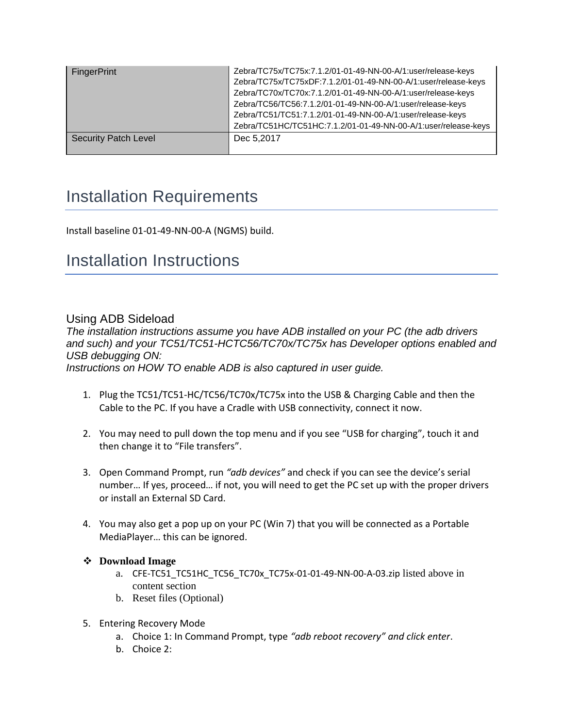| <b>FingerPrint</b>          | Zebra/TC75x/TC75x:7.1.2/01-01-49-NN-00-A/1:user/release-keys<br>Zebra/TC75x/TC75xDF:7.1.2/01-01-49-NN-00-A/1:user/release-keys<br>Zebra/TC70x/TC70x:7.1.2/01-01-49-NN-00-A/1:user/release-keys<br>Zebra/TC56/TC56:7.1.2/01-01-49-NN-00-A/1:user/release-keys<br>Zebra/TC51/TC51:7.1.2/01-01-49-NN-00-A/1:user/release-keys<br>Zebra/TC51HC/TC51HC:7.1.2/01-01-49-NN-00-A/1:user/release-keys |
|-----------------------------|----------------------------------------------------------------------------------------------------------------------------------------------------------------------------------------------------------------------------------------------------------------------------------------------------------------------------------------------------------------------------------------------|
| <b>Security Patch Level</b> | Dec 5,2017                                                                                                                                                                                                                                                                                                                                                                                   |

### <span id="page-4-0"></span>Installation Requirements

Install baseline 01-01-49-NN-00-A (NGMS) build.

#### <span id="page-4-1"></span>Installation Instructions

#### Using ADB Sideload

*The installation instructions assume you have ADB installed on your PC (the adb drivers and such) and your TC51/TC51-HCTC56/TC70x/TC75x has Developer options enabled and USB debugging ON:*

*Instructions on HOW TO enable ADB is also captured in user guide.*

- 1. Plug the TC51/TC51-HC/TC56/TC70x/TC75x into the USB & Charging Cable and then the Cable to the PC. If you have a Cradle with USB connectivity, connect it now.
- 2. You may need to pull down the top menu and if you see "USB for charging", touch it and then change it to "File transfers".
- 3. Open Command Prompt, run *"adb devices"* and check if you can see the device's serial number… If yes, proceed… if not, you will need to get the PC set up with the proper drivers or install an External SD Card.
- 4. You may also get a pop up on your PC (Win 7) that you will be connected as a Portable MediaPlayer… this can be ignored.

#### **Download Image**

- a. CFE-TC51\_TC51HC\_TC56\_TC70x\_TC75x-01-01-49-NN-00-A-03.zip listed above in content section
- b. Reset files (Optional)
- 5. Entering Recovery Mode
	- a. Choice 1: In Command Prompt, type *"adb reboot recovery" and click enter*.
	- b. Choice 2: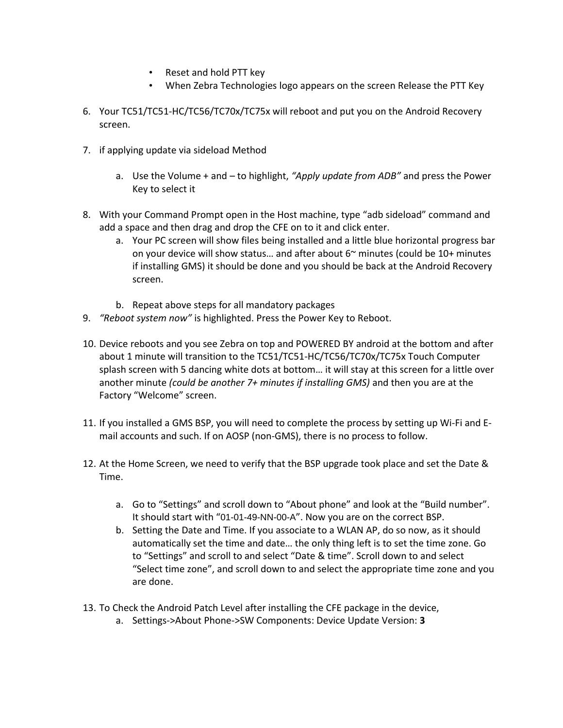- Reset and hold PTT key
- When Zebra Technologies logo appears on the screen Release the PTT Key
- 6. Your TC51/TC51-HC/TC56/TC70x/TC75x will reboot and put you on the Android Recovery screen.
- 7. if applying update via sideload Method
	- a. Use the Volume + and to highlight, *"Apply update from ADB"* and press the Power Key to select it
- 8. With your Command Prompt open in the Host machine, type "adb sideload" command and add a space and then drag and drop the CFE on to it and click enter.
	- a. Your PC screen will show files being installed and a little blue horizontal progress bar on your device will show status... and after about  $6<sup>th</sup>$  minutes (could be  $10+$  minutes if installing GMS) it should be done and you should be back at the Android Recovery screen.
	- b. Repeat above steps for all mandatory packages
- 9. *"Reboot system now"* is highlighted. Press the Power Key to Reboot.
- 10. Device reboots and you see Zebra on top and POWERED BY android at the bottom and after about 1 minute will transition to the TC51/TC51-HC/TC56/TC70x/TC75x Touch Computer splash screen with 5 dancing white dots at bottom… it will stay at this screen for a little over another minute *(could be another 7+ minutes if installing GMS)* and then you are at the Factory "Welcome" screen.
- 11. If you installed a GMS BSP, you will need to complete the process by setting up Wi‐Fi and E‐ mail accounts and such. If on AOSP (non‐GMS), there is no process to follow.
- 12. At the Home Screen, we need to verify that the BSP upgrade took place and set the Date & Time.
	- a. Go to "Settings" and scroll down to "About phone" and look at the "Build number". It should start with "01-01-49-NN-00-A". Now you are on the correct BSP.
	- b. Setting the Date and Time. If you associate to a WLAN AP, do so now, as it should automatically set the time and date… the only thing left is to set the time zone. Go to "Settings" and scroll to and select "Date & time". Scroll down to and select "Select time zone", and scroll down to and select the appropriate time zone and you are done.
- 13. To Check the Android Patch Level after installing the CFE package in the device,
	- a. Settings->About Phone->SW Components: Device Update Version: **3**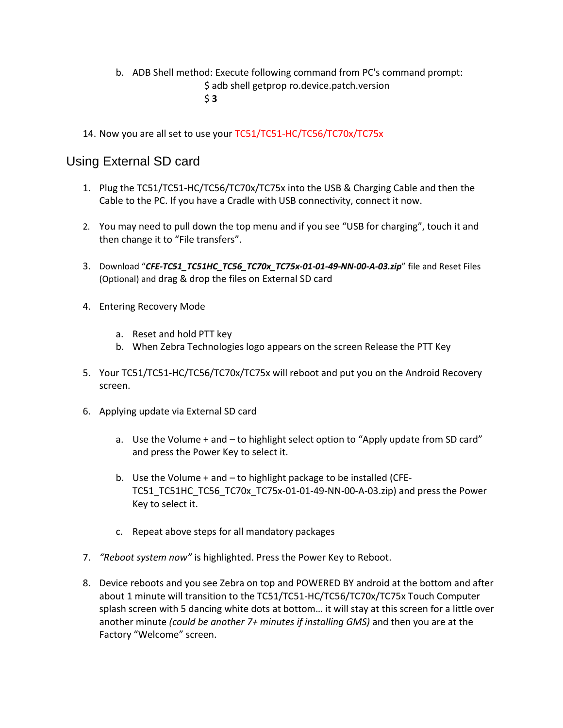- b. ADB Shell method: Execute following command from PC's command prompt: \$ adb shell getprop ro.device.patch.version \$ **3**
- 14. Now you are all set to use your TC51/TC51-HC/TC56/TC70x/TC75x

#### Using External SD card

- 1. Plug the TC51/TC51-HC/TC56/TC70x/TC75x into the USB & Charging Cable and then the Cable to the PC. If you have a Cradle with USB connectivity, connect it now.
- 2. You may need to pull down the top menu and if you see "USB for charging", touch it and then change it to "File transfers".
- 3. Download "*CFE-TC51\_TC51HC\_TC56\_TC70x\_TC75x-01-01-49-NN-00-A-03.zip*" file and Reset Files (Optional) and drag & drop the files on External SD card
- 4. Entering Recovery Mode
	- a. Reset and hold PTT key
	- b. When Zebra Technologies logo appears on the screen Release the PTT Key
- 5. Your TC51/TC51-HC/TC56/TC70x/TC75x will reboot and put you on the Android Recovery screen.
- 6. Applying update via External SD card
	- a. Use the Volume + and to highlight select option to "Apply update from SD card" and press the Power Key to select it.
	- b. Use the Volume + and to highlight package to be installed (CFE-TC51\_TC51HC\_TC56\_TC70x\_TC75x-01-01-49-NN-00-A-03.zip) and press the Power Key to select it.
	- c. Repeat above steps for all mandatory packages
- 7. *"Reboot system now"* is highlighted. Press the Power Key to Reboot.
- 8. Device reboots and you see Zebra on top and POWERED BY android at the bottom and after about 1 minute will transition to the TC51/TC51-HC/TC56/TC70x/TC75x Touch Computer splash screen with 5 dancing white dots at bottom… it will stay at this screen for a little over another minute *(could be another 7+ minutes if installing GMS)* and then you are at the Factory "Welcome" screen.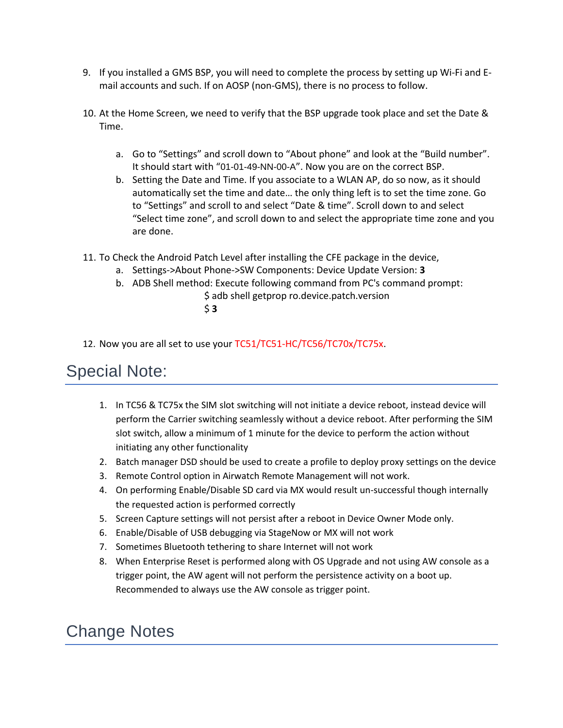- 9. If you installed a GMS BSP, you will need to complete the process by setting up Wi‐Fi and E‐ mail accounts and such. If on AOSP (non‐GMS), there is no process to follow.
- 10. At the Home Screen, we need to verify that the BSP upgrade took place and set the Date & Time.
	- a. Go to "Settings" and scroll down to "About phone" and look at the "Build number". It should start with "01-01-49-NN-00-A". Now you are on the correct BSP.
	- b. Setting the Date and Time. If you associate to a WLAN AP, do so now, as it should automatically set the time and date… the only thing left is to set the time zone. Go to "Settings" and scroll to and select "Date & time". Scroll down to and select "Select time zone", and scroll down to and select the appropriate time zone and you are done.
- 11. To Check the Android Patch Level after installing the CFE package in the device,
	- a. Settings->About Phone->SW Components: Device Update Version: **3**
	- b. ADB Shell method: Execute following command from PC's command prompt: \$ adb shell getprop ro.device.patch.version
		- \$ **3**
- 12. Now you are all set to use your TC51/TC51-HC/TC56/TC70x/TC75x.

#### <span id="page-7-0"></span>Special Note:

- 1. In TC56 & TC75x the SIM slot switching will not initiate a device reboot, instead device will perform the Carrier switching seamlessly without a device reboot. After performing the SIM slot switch, allow a minimum of 1 minute for the device to perform the action without initiating any other functionality
- 2. Batch manager DSD should be used to create a profile to deploy proxy settings on the device
- 3. Remote Control option in Airwatch Remote Management will not work.
- 4. On performing Enable/Disable SD card via MX would result un-successful though internally the requested action is performed correctly
- 5. Screen Capture settings will not persist after a reboot in Device Owner Mode only.
- 6. Enable/Disable of USB debugging via StageNow or MX will not work
- 7. Sometimes Bluetooth tethering to share Internet will not work
- 8. When Enterprise Reset is performed along with OS Upgrade and not using AW console as a trigger point, the AW agent will not perform the persistence activity on a boot up. Recommended to always use the AW console as trigger point.

### Change Notes